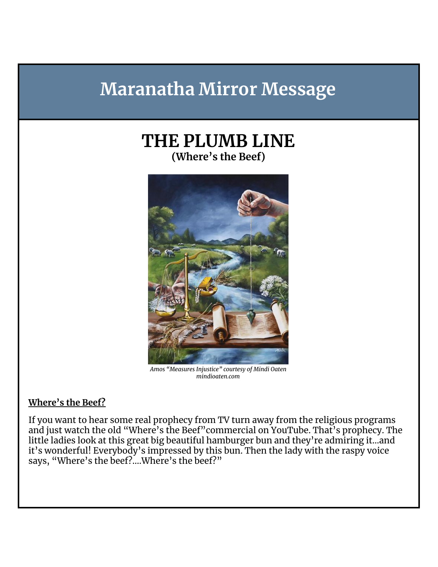# **Maranatha Mirror Message**

## **THE PLUMB LINE (Where's the Beef)**



*Amos "Measures Injustice" courtesy of Mindi Oaten mindioaten.com*

#### **Where's the Beef?**

If you want to hear some real prophecy from TV turn away from the religious programs and just watch the old "Where's the Beef"commercial on YouTube. That's prophecy. The little ladies look at this great big beautiful hamburger bun and they're admiring it...and it's wonderful! Everybody's impressed by this bun. Then the lady with the raspy voice says, "Where's the beef?....Where's the beef?"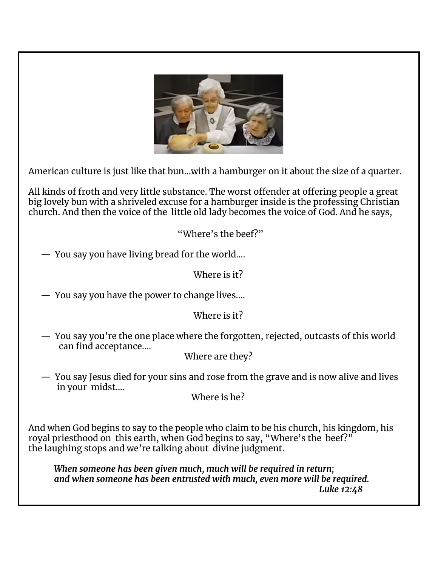

American culture is just like that bun...with a hamburger on it about the size of a quarter.

All kinds of froth and very little substance. The worst offender at offering people a great big lovely bun with a shriveled excuse for a hamburger inside is the professing Christian church. And then the voice of the little old lady becomes the voice of God. And he says,

"Where's the beef?"

— You say you have living bread for the world....

Where is it?

— You say you have the power to change lives....

#### Where is it?

— You say you're the one place where the forgotten, rejected, outcasts of this world can find acceptance....

Where are they?

— You say Jesus died for your sins and rose from the grave and is now alive and lives in your midst....

Where is he?

And when God begins to say to the people who claim to be his church, his kingdom, his royal priesthood on this earth, when God begins to say, "Where's the beef?" the laughing stops and we're talking about divine judgment.

*When someone has been given much, much will be required in return; and when someone has been entrusted with much, even more will be required. Luke 12:48*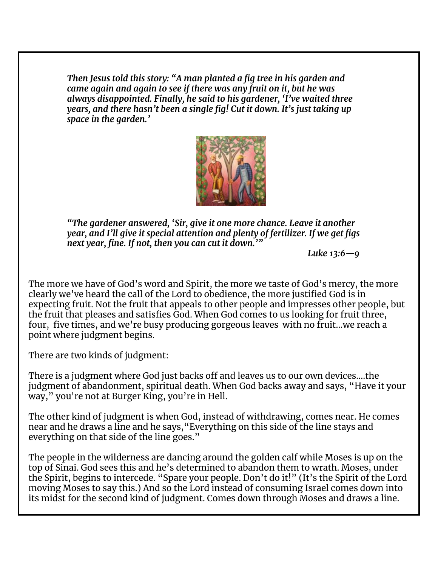*Then Jesus told this story: "A man planted a fig tree in his garden and came again and again to see if there was any fruit on it, but he was always disappointed. Finally, he said to his gardener, 'I've waited three years, and there hasn't been a single fig! Cut it down. It's just taking up space in the garden.'*



*"The gardener answered, 'Sir, give it one more chance. Leave it another year, and I'll give it special attention and plenty of fertilizer. If we get figs next year, fine. If not, then you can cut it down.'"*

*Luke 13:6—9*

The more we have of God's word and Spirit, the more we taste of God's mercy, the more clearly we've heard the call of the Lord to obedience, the more justified God is in expecting fruit. Not the fruit that appeals to other people and impresses other people, but the fruit that pleases and satisfies God. When God comes to us looking for fruit three, four, five times, and we're busy producing gorgeous leaves with no fruit...we reach a point where judgment begins.

There are two kinds of judgment:

There is a judgment where God just backs off and leaves us to our own devices....the judgment of abandonment, spiritual death. When God backs away and says, "Have it your way," you're not at Burger King, you're in Hell.

The other kind of judgment is when God, instead of withdrawing, comes near. He comes near and he draws a line and he says,"Everything on this side of the line stays and everything on that side of the line goes."

The people in the wilderness are dancing around the golden calf while Moses is up on the top of Sinai. God sees this and he's determined to abandon them to wrath. Moses, under the Spirit, begins to intercede. "Spare your people. Don't do it!" (It's the Spirit of the Lord moving Moses to say this.) And so the Lord instead of consuming Israel comes down into its midst for the second kind of judgment. Comes down through Moses and draws a line.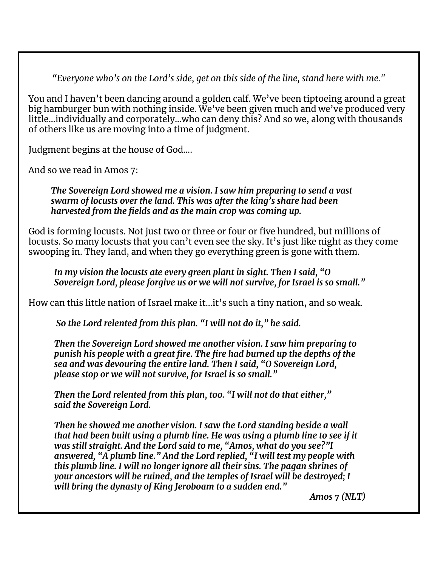*"Everyone who's on the Lord's side, get on this side of the line, stand here with me."*

You and I haven't been dancing around a golden calf. We've been tiptoeing around a great big hamburger bun with nothing inside. We've been given much and we've produced very little...individually and corporately...who can deny this? And so we, along with thousands of others like us are moving into a time of judgment.

Judgment begins at the house of God....

And so we read in Amos 7:

*The Sovereign Lord showed me a vision. I saw him preparing to send a vast swarm of locusts over the land. This was after the king's share had been harvested from the fields and as the main crop was coming up.*

God is forming locusts. Not just two or three or four or five hundred, but millions of locusts. So many locusts that you can't even see the sky. It's just like night as they come swooping in. They land, and when they go everything green is gone with them.

*In my vision the locusts ate every green plant in sight. Then I said, "O Sovereign Lord, please forgive us or we will not survive, for Israel is so small."*

How can this little nation of Israel make it...it's such a tiny nation, and so weak.

*So the Lord relented from this plan. "I will not do it, " he said.*

*Then the Sovereign Lord showed me another vision. I saw him preparing to punish his people with a great fire. The fire had burned up the depths of the sea and was devouring the entire land. Then I said, "O Sovereign Lord, please stop or we will not survive, for Israel is so small."*

*Then the Lord relented from this plan, too. "I will not do that either, " said the Sovereign Lord.*

*Then he showed me another vision. I saw the Lord standing beside a wall that had been built using a plumb line. He was using a plumb line to see if it was still straight. And the Lord said to me, "Amos, what do you see?"I answered, "A plumb line." And the Lord replied, "I will test my people with this plumb line. I will no longer ignore all their sins. The pagan shrines of your ancestors will be ruined, and the temples of Israel will be destroyed; I will bring the dynasty of King Jeroboam to a sudden end."*

*Amos 7 (NLT)*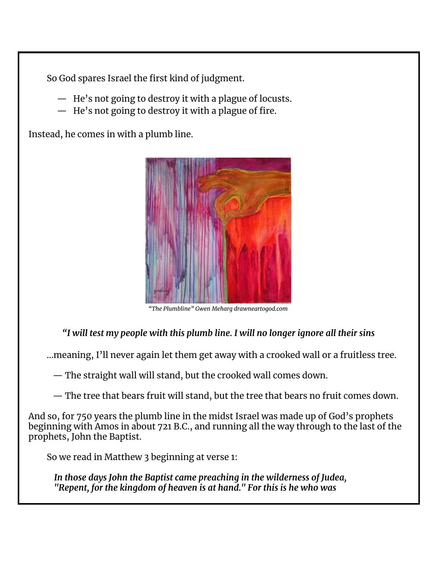So God spares Israel the first kind of judgment.

- He's not going to destroy it with a plague of locusts.
- He's not going to destroy it with a plague of fire.

Instead, he comes in with a plumb line.



*"The Plumbline" Gwen Meharg drawneartogod.com*

#### *"I will test my people with this plumb line. I will no longer ignore all their sins*

...meaning, I'll never again let them get away with a crooked wall or a fruitless tree.

— The straight wall will stand, but the crooked wall comes down.

— The tree that bears fruit will stand, but the tree that bears no fruit comes down.

And so, for 750 years the plumb line in the midst Israel was made up of God's prophets beginning with Amos in about 721 B.C., and running all the way through to the last of the prophets, John the Baptist.

So we read in Matthew 3 beginning at verse 1:

*In those days John the Baptist came preaching in the wilderness of Judea, "Repent, for the kingdom of heaven is at hand." For this is he who was*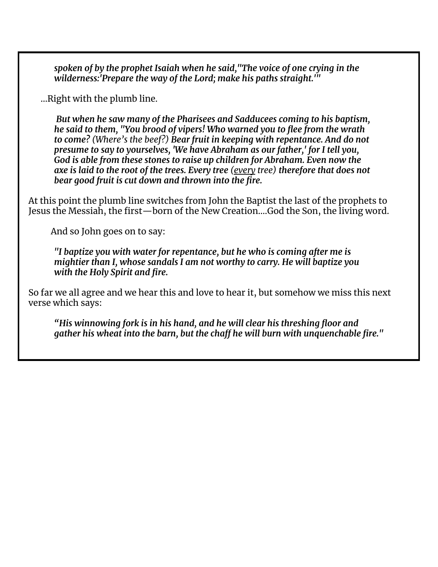*spoken of by the prophet Isaiah when he said,"The voice of one crying in the wilderness:'Prepare the way of the Lord; make his paths straight.'"*

...Right with the plumb line.

*But when he saw many of the Pharisees and Sadducees coming to his baptism, he said to them, "You brood of vipers! Who warned you to flee from the wrath to come? (Where's the beef?) Bear fruit in keeping with repentance. And do not presume to say to yourselves, 'We have Abraham as our father,' for I tell you, God is able from these stones to raise up children for Abraham. Even now the axe is laid to the root of the trees. Every tree (every tree) therefore that does not bear good fruit is cut down and thrown into the fire.*

At this point the plumb line switches from John the Baptist the last of the prophets to Jesus the Messiah, the first—born of the New Creation....God the Son, the living word.

And so John goes on to say:

*"I baptize you with water for repentance, but he who is coming after me is mightier than I, whose sandals I am not worthy to carry. He will baptize you with the Holy Spirit and fire.*

So far we all agree and we hear this and love to hear it, but somehow we miss this next verse which says:

*"His winnowing fork is in his hand, and he will clear his threshing floor and gather his wheat into the barn, but the chaff he will burn with unquenchable fire."*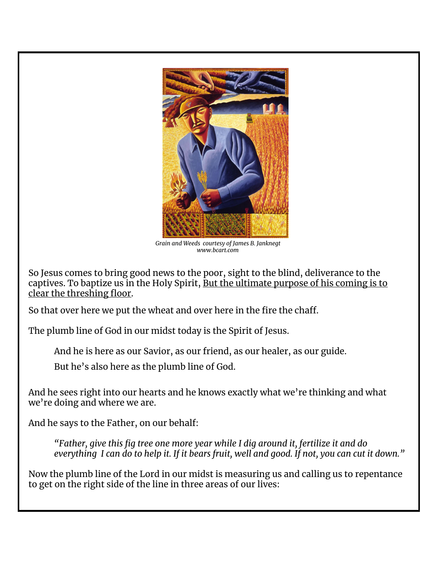

*Grain and Weeds courtesy of James B. Janknegt www.bcart.com*

So Jesus comes to bring good news to the poor, sight to the blind, deliverance to the captives. To baptize us in the Holy Spirit, But the ultimate purpose of his coming is to clear the threshing floor.

So that over here we put the wheat and over here in the fire the chaff.

The plumb line of God in our midst today is the Spirit of Jesus.

And he is here as our Savior, as our friend, as our healer, as our guide.

But he's also here as the plumb line of God.

And he sees right into our hearts and he knows exactly what we're thinking and what we're doing and where we are.

And he says to the Father, on our behalf:

*"Father, give this fig tree one more year while I dig around it, fertilize it and do* everything I can do to help it. If it bears fruit, well and good. If not, you can cut it down."

Now the plumb line of the Lord in our midst is measuring us and calling us to repentance to get on the right side of the line in three areas of our lives: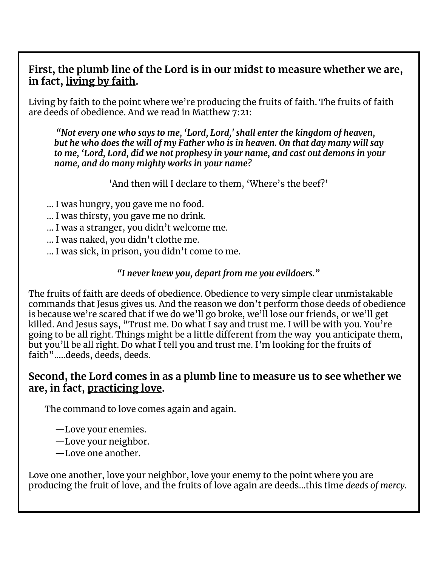#### **First, the plumb line of the Lord is in our midst to measure whether we are, in fact, living by faith.**

Living by faith to the point where we're producing the fruits of faith. The fruits of faith are deeds of obedience. And we read in Matthew 7:21:

*"Not every one who says to me, 'Lord, Lord,' shall enter the kingdom of heaven, but he who does the will of my Father who is in heaven. On that day many will say to me, 'Lord, Lord, did we not prophesy in your name, and cast out demons in your name, and do many mighty works in your name?*

'And then will I declare to them, 'Where's the beef?'

... I was hungry, you gave me no food.

- ... I was thirsty, you gave me no drink.
- ... I was a stranger, you didn't welcome me.
- ... I was naked, you didn't clothe me.
- ... I was sick, in prison, you didn't come to me.

#### *"I never knew you, depart from me you evildoers."*

The fruits of faith are deeds of obedience. Obedience to very simple clear unmistakable commands that Jesus gives us. And the reason we don't perform those deeds of obedience is because we're scared that if we do we'll go broke, we'll lose our friends, or we'll get killed. And Jesus says, "Trust me. Do what I say and trust me. I will be with you. You're going to be all right. Things might be a little different from the way you anticipate them, but you'll be all right. Do what I tell you and trust me. I'm looking for the fruits of faith".....deeds, deeds, deeds.

#### **Second, the Lord comes in as a plumb line to measure us to see whether we are, in fact, practicing love.**

The command to love comes again and again.

- —Love your enemies.
- —Love your neighbor.
- —Love one another.

Love one another, love your neighbor, love your enemy to the point where you are producing the fruit of love, and the fruits of love again are deeds...this time *deeds of mercy.*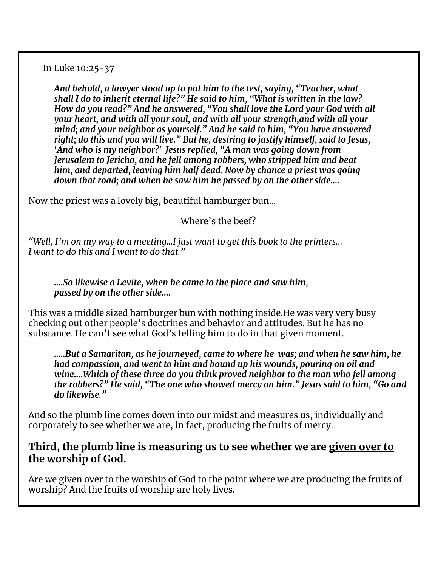In Luke 10:25-37

*And behold, a lawyer stood up to put him to the test, saying, "Teacher, what shall I do to inherit eternal life?" He said to him, "What is written in the law? How do you read?" And he answered, "You shall love the Lord your God with all your heart, and with all your soul, and with all your strength,and with all your mind; and your neighbor as yourself." And he said to him, "You have answered right; do this and you will live." But he, desiring to justify himself, said to Jesus, 'And who is my neighbor?' Jesus replied, "A man was going down from Jerusalem to Jericho, and he fell among robbers, who stripped him and beat him, and departed, leaving him half dead. Now by chance a priest was going down that road; and when he saw him he passed by on the other side....*

Now the priest was a lovely big, beautiful hamburger bun…

Where's the beef?

*"Well, I'm on my way to a meeting...I just want to get this book to the printers… I want to do this and I want to do that."*

*....So likewise a Levite, when he came to the place and saw him, passed by on the other side....*

This was a middle sized hamburger bun with nothing inside.He was very very busy checking out other people's doctrines and behavior and attitudes. But he has no substance. He can't see what God's telling him to do in that given moment.

*.....But a Samaritan, as he journeyed, came to where he was; and when he saw him, he had compassion, and went to him and bound up his wounds, pouring on oil and wine....Which of these three do you think proved neighbor to the man who fell among the robbers?" He said, "The one who showed mercy on him." Jesus said to him, "Go and do likewise."*

And so the plumb line comes down into our midst and measures us, individually and corporately to see whether we are, in fact, producing the fruits of mercy.

#### **Third, the plumb line is measuring us to see whether we are given over to the worship of God.**

Are we given over to the worship of God to the point where we are producing the fruits of worship? And the fruits of worship are holy lives.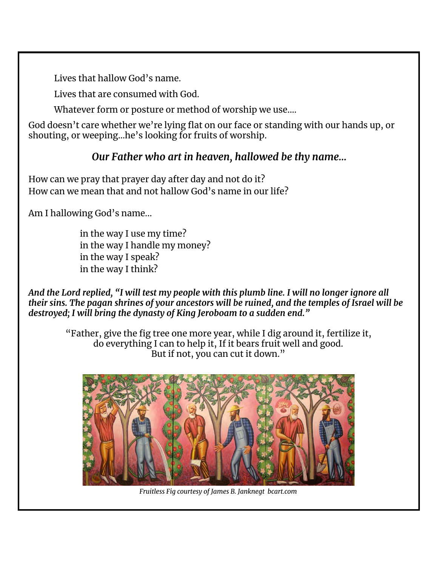Lives that hallow God's name.

Lives that are consumed with God.

Whatever form or posture or method of worship we use....

God doesn't care whether we're lying flat on our face or standing with our hands up, or shouting, or weeping...he's looking for fruits of worship.

### *Our Father who art in heaven, hallowed be thy name…*

How can we pray that prayer day after day and not do it? How can we mean that and not hallow God's name in our life?

Am I hallowing God's name...

in the way I use my time? in the way I handle my money? in the way I speak? in the way I think?

And the Lord replied, "I will test my people with this plumb line. I will no longer ignore all *their sins. The pagan shrines of your ancestors will be ruined, and the temples of Israel will be destroyed; I will bring the dynasty of King Jeroboam to a sudden end."*

"Father, give the fig tree one more year, while I dig around it, fertilize it, do everything I can to help it, If it bears fruit well and good. But if not, you can cut it down."



*Fruitless Fig courtesy of James B. Janknegt bcart.com*